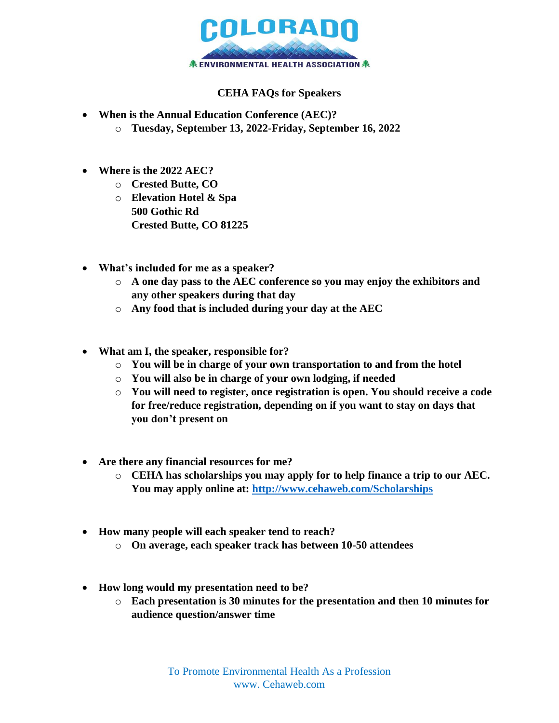

## **CEHA FAQs for Speakers**

- **When is the Annual Education Conference (AEC)?**
	- o **Tuesday, September 13, 2022-Friday, September 16, 2022**
- **Where is the 2022 AEC?**
	- o **Crested Butte, CO**
	- o **Elevation Hotel & Spa 500 Gothic Rd Crested Butte, CO 81225**
- **What's included for me as a speaker?**
	- o **A one day pass to the AEC conference so you may enjoy the exhibitors and any other speakers during that day**
	- o **Any food that is included during your day at the AEC**
- **What am I, the speaker, responsible for?**
	- o **You will be in charge of your own transportation to and from the hotel**
	- o **You will also be in charge of your own lodging, if needed**
	- o **You will need to register, once registration is open. You should receive a code for free/reduce registration, depending on if you want to stay on days that you don't present on**
- **Are there any financial resources for me?**
	- o **CEHA has scholarships you may apply for to help finance a trip to our AEC. You may apply online at:<http://www.cehaweb.com/Scholarships>**
- **How many people will each speaker tend to reach?**
	- o **On average, each speaker track has between 10-50 attendees**
- **How long would my presentation need to be?**
	- o **Each presentation is 30 minutes for the presentation and then 10 minutes for audience question/answer time**